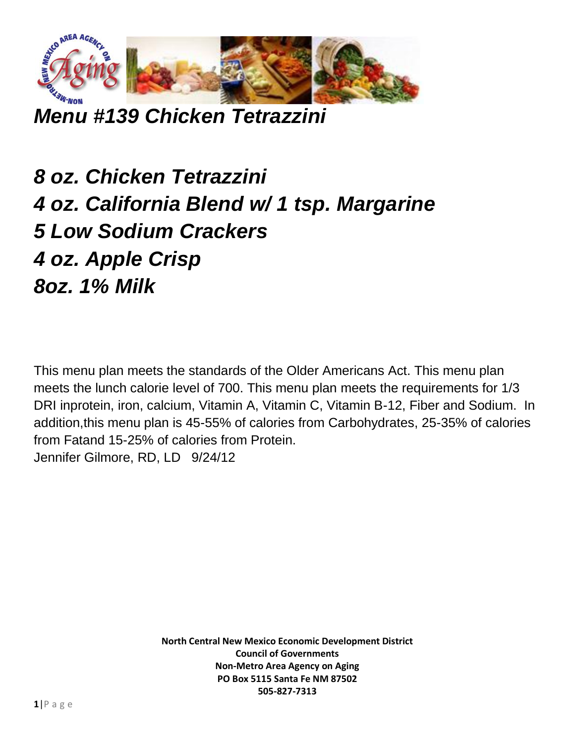

*Menu #139 Chicken Tetrazzini*

*8 oz. Chicken Tetrazzini 4 oz. California Blend w/ 1 tsp. Margarine 5 Low Sodium Crackers 4 oz. Apple Crisp 8oz. 1% Milk*

This menu plan meets the standards of the Older Americans Act. This menu plan meets the lunch calorie level of 700. This menu plan meets the requirements for 1/3 DRI inprotein, iron, calcium, Vitamin A, Vitamin C, Vitamin B-12, Fiber and Sodium. In addition,this menu plan is 45-55% of calories from Carbohydrates, 25-35% of calories from Fatand 15-25% of calories from Protein. Jennifer Gilmore, RD, LD 9/24/12

> **North Central New Mexico Economic Development District Council of Governments Non-Metro Area Agency on Aging PO Box 5115 Santa Fe NM 87502 505-827-7313**